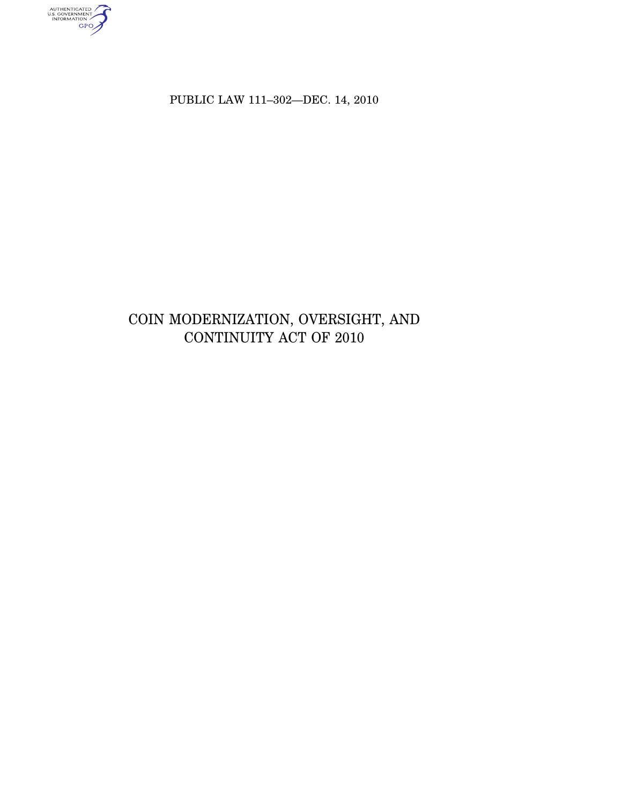AUTHENTICATED<br>U.S. GOVERNMENT<br>INFORMATION<br>GPO

PUBLIC LAW 111-302-DEC. 14, 2010

# COIN MODERNIZATION, OVERSIGHT, AND CONTINUITY ACT OF 2010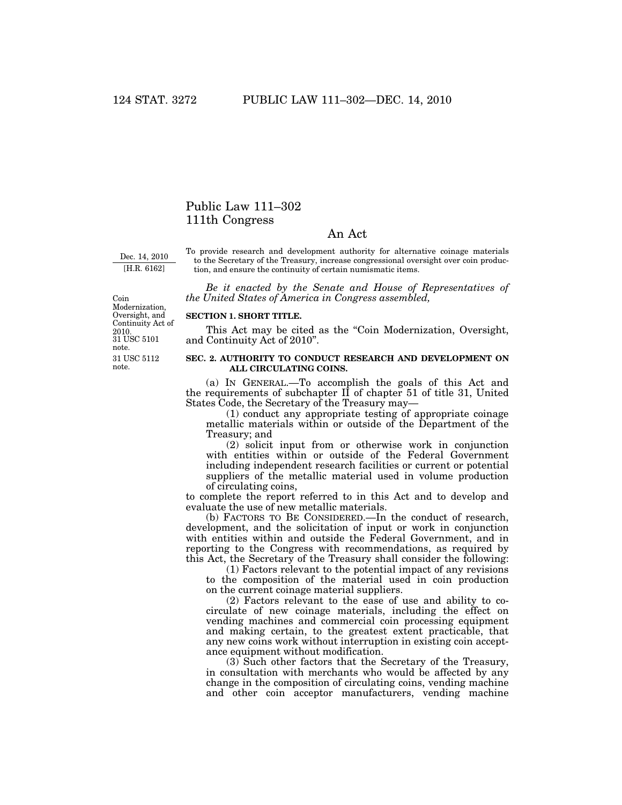## Public Law 111–302 111th Congress

### An Act

Dec. 14, 2010 [H.R. 6162]

To provide research and development authority for alternative coinage materials to the Secretary of the Treasury, increase congressional oversight over coin production, and ensure the continuity of certain numismatic items.

*Be it enacted by the Senate and House of Representatives of the United States of America in Congress assembled,* 

31 USC 5112 note. 2010.<br>31 USC 5101 note. Coin Modernization, Oversight, and Continuity Act of

#### **SECTION 1. SHORT TITLE.**

This Act may be cited as the "Coin Modernization, Oversight, and Continuity Act of 2010''.

#### **SEC. 2. AUTHORITY TO CONDUCT RESEARCH AND DEVELOPMENT ON ALL CIRCULATING COINS.**

(a) IN GENERAL.—To accomplish the goals of this Act and the requirements of subchapter II of chapter 51 of title 31, United States Code, the Secretary of the Treasury may—

(1) conduct any appropriate testing of appropriate coinage metallic materials within or outside of the Department of the Treasury; and

(2) solicit input from or otherwise work in conjunction with entities within or outside of the Federal Government including independent research facilities or current or potential suppliers of the metallic material used in volume production of circulating coins,

to complete the report referred to in this Act and to develop and evaluate the use of new metallic materials.

(b) FACTORS TO BE CONSIDERED.—In the conduct of research, development, and the solicitation of input or work in conjunction with entities within and outside the Federal Government, and in reporting to the Congress with recommendations, as required by this Act, the Secretary of the Treasury shall consider the following:

(1) Factors relevant to the potential impact of any revisions to the composition of the material used in coin production on the current coinage material suppliers.

(2) Factors relevant to the ease of use and ability to cocirculate of new coinage materials, including the effect on vending machines and commercial coin processing equipment and making certain, to the greatest extent practicable, that any new coins work without interruption in existing coin acceptance equipment without modification.

(3) Such other factors that the Secretary of the Treasury, in consultation with merchants who would be affected by any change in the composition of circulating coins, vending machine and other coin acceptor manufacturers, vending machine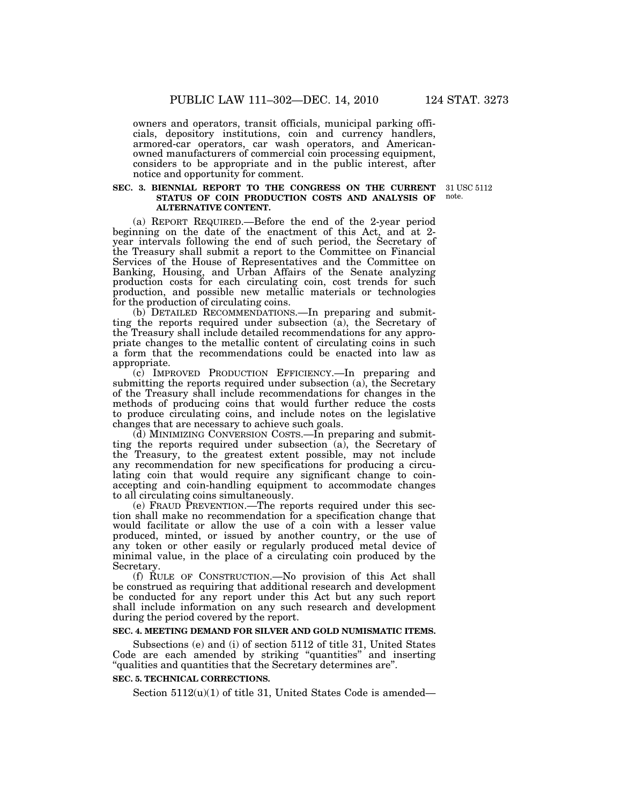owners and operators, transit officials, municipal parking officials, depository institutions, coin and currency handlers, armored-car operators, car wash operators, and Americanowned manufacturers of commercial coin processing equipment, considers to be appropriate and in the public interest, after notice and opportunity for comment.

#### **SEC. 3. BIENNIAL REPORT TO THE CONGRESS ON THE CURRENT STATUS OF COIN PRODUCTION COSTS AND ANALYSIS OF ALTERNATIVE CONTENT.**

(a) REPORT REQUIRED.—Before the end of the 2-year period beginning on the date of the enactment of this Act, and at 2 year intervals following the end of such period, the Secretary of the Treasury shall submit a report to the Committee on Financial Services of the House of Representatives and the Committee on Banking, Housing, and Urban Affairs of the Senate analyzing production costs for each circulating coin, cost trends for such production, and possible new metallic materials or technologies for the production of circulating coins.

(b) DETAILED RECOMMENDATIONS.—In preparing and submitting the reports required under subsection (a), the Secretary of the Treasury shall include detailed recommendations for any appropriate changes to the metallic content of circulating coins in such a form that the recommendations could be enacted into law as appropriate.

(c) IMPROVED PRODUCTION EFFICIENCY.—In preparing and submitting the reports required under subsection (a), the Secretary of the Treasury shall include recommendations for changes in the methods of producing coins that would further reduce the costs to produce circulating coins, and include notes on the legislative changes that are necessary to achieve such goals.

(d) MINIMIZING CONVERSION COSTS.—In preparing and submitting the reports required under subsection (a), the Secretary of the Treasury, to the greatest extent possible, may not include any recommendation for new specifications for producing a circulating coin that would require any significant change to coinaccepting and coin-handling equipment to accommodate changes to all circulating coins simultaneously.

(e) FRAUD PREVENTION.—The reports required under this section shall make no recommendation for a specification change that would facilitate or allow the use of a coin with a lesser value produced, minted, or issued by another country, or the use of any token or other easily or regularly produced metal device of minimal value, in the place of a circulating coin produced by the Secretary.

(f) RULE OF CONSTRUCTION.—No provision of this Act shall be construed as requiring that additional research and development be conducted for any report under this Act but any such report shall include information on any such research and development during the period covered by the report.

#### **SEC. 4. MEETING DEMAND FOR SILVER AND GOLD NUMISMATIC ITEMS.**

Subsections (e) and (i) of section 5112 of title 31, United States Code are each amended by striking ''quantities'' and inserting "qualities and quantities that the Secretary determines are".

#### **SEC. 5. TECHNICAL CORRECTIONS.**

Section 5112(u)(1) of title 31, United States Code is amended—

31 USC 5112 note.